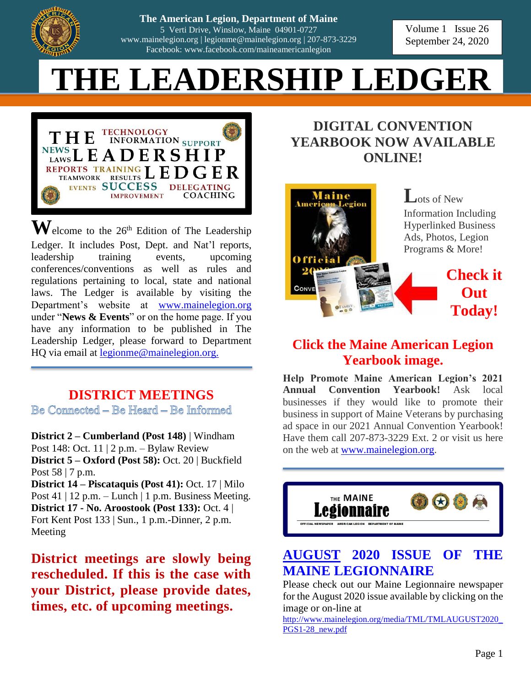

| 207-873-3229 **The American Legion, Dep The American Legion, Department of Maine Failet Ican Legion, Department of Maine**<br>5 Verti Drive, Winslow, Maine 04901-0727 **District Officer Contract Officer Form from** *Form from <b>Form* from **Form** [www.mainelegion.org](http://www.mainelegion.org/) | [legionme@mainelegion.org](mailto:legionme@mainelegion.org) | 207-873-3229 Facebook: www.facebook.com/maineamericanlegion

**We have the 2020 September 24, 2020** Volume 1 Issue 26

# **UID 1 EDCI**  $$



 $\mathbf{W}$ elcome to the 26<sup>th</sup> Edition of The Leadership Ledger. It includes Post, Dept. and Nat'l reports, leadership training events, upcoming conferences/conventions as well as rules and regulations pertaining to local, state and national laws. The Ledger is available by visiting the Department's website at [www.mainelegion.org](http://www.mainelegion.org/) under "**News & Events**" or on the home page. If you have any information to be published in The Leadership Ledger, please forward to Department HQ via email at [legionme@mainelegion.org.](mailto:legionme@mainelegion.org)

## **DISTRICT MEETINGS**

Be Comnected – Be Heard – Be Informed

**District 2 – Cumberland (Post 148)** | Windham Post 148: Oct. 11 | 2 p.m. – Bylaw Review **District 5 – Oxford (Post 58):** Oct. 20 | Buckfield Post 58 | 7 p.m.

**District 14 – Piscataquis (Post 41):** Oct. 17 | Milo Post 41 | 12 p.m. – Lunch | 1 p.m. Business Meeting. **District 17 - No. Aroostook (Post 133):** Oct. 4 | Fort Kent Post 133 | Sun., 1 p.m.-Dinner, 2 p.m. Meeting

**District meetings are slowly being rescheduled. If this is the case with your District, please provide dates, times, etc. of upcoming meetings.**

# **DIGITAL CONVENTION YEARBOOK NOW AVAILABLE ONLINE!**



**L**ots of New Information Including Hyperlinked Business Ads, Photos, Legion Programs & More!

> **Check it Out Today!**

### **Click the Maine American Legion Yearbook image.**

**Help Promote Maine American Legion's 2021 Annual Convention Yearbook!** Ask local businesses if they would like to promote their business in support of Maine Veterans by purchasing ad space in our 2021 Annual Convention Yearbook! Have them call 207-873-3229 Ext. 2 or visit us here on the web at [www.mainelegion.org.](http://www.mainelegion.org/)



### **AUGUST [2020 ISSUE OF THE](http://www.mainelegion.org/media/TML/TMLMAY2020_PGS1-28_new.pdf)  [MAINE LEGIONNAIRE](http://www.mainelegion.org/media/TML/TMLMAY2020_PGS1-28_new.pdf)**

Please check out our Maine Legionnaire newspaper for the August 2020 issue available by clicking on the image or on-line at

[http://www.mainelegion.org/media/TML/TMLAUGUST2020\\_](http://www.mainelegion.org/media/TML/TMLAUGUST2020_PGS1-28_new.pdf) [PGS1-28\\_new.pdf](http://www.mainelegion.org/media/TML/TMLAUGUST2020_PGS1-28_new.pdf)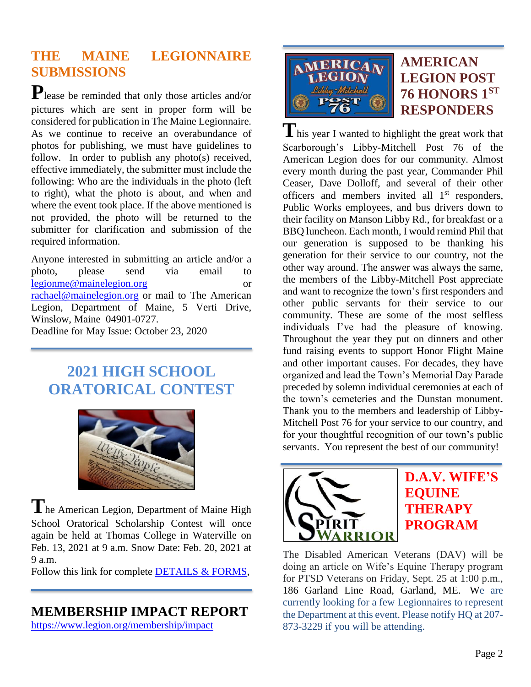# **THE MAINE LEGIONNAIRE SUBMISSIONS**

**P**lease be reminded that only those articles and/or pictures which are sent in proper form will be considered for publication in The Maine Legionnaire. As we continue to receive an overabundance of photos for publishing, we must have guidelines to follow. In order to publish any photo(s) received, effective immediately, the submitter must include the following: Who are the individuals in the photo (left to right), what the photo is about, and when and where the event took place. If the above mentioned is not provided, the photo will be returned to the submitter for clarification and submission of the required information.

Anyone interested in submitting an article and/or a photo, please send via email to [legionme@mainelegion.org](mailto:legionme@mainelegion.org) or [rachael@mainelegion.org](mailto:rachael@mainelegion.org) or mail to The American Legion, Department of Maine, 5 Verti Drive, Winslow, Maine 04901-0727. Deadline for May Issue: October 23, 2020

# **2021 HIGH SCHOOL ORATORICAL CONTEST**



**T**he American Legion, Department of Maine High School Oratorical Scholarship Contest will once again be held at Thomas College in Waterville on Feb. 13, 2021 at 9 a.m. Snow Date: Feb. 20, 2021 at 9 a.m.

Follow this link for complete **DETAILS & FORMS**,

### **MEMBERSHIP IMPACT REPORT**

<https://www.legion.org/membership/impact>



## **AMERICAN LEGION POST 76 HONORS 1ST RESPONDERS**

**T**his year I wanted to highlight the great work that Scarborough's Libby-Mitchell Post 76 of the American Legion does for our community. Almost every month during the past year, Commander Phil Ceaser, Dave Dolloff, and several of their other officers and members invited all 1<sup>st</sup> responders, Public Works employees, and bus drivers down to their facility on Manson Libby Rd., for breakfast or a BBQ luncheon. Each month, I would remind Phil that our generation is supposed to be thanking his generation for their service to our country, not the other way around. The answer was always the same, the members of the Libby-Mitchell Post appreciate and want to recognize the town's first responders and other public servants for their service to our community. These are some of the most selfless individuals I've had the pleasure of knowing. Throughout the year they put on dinners and other fund raising events to support Honor Flight Maine and other important causes. For decades, they have organized and lead the Town's Memorial Day Parade preceded by solemn individual ceremonies at each of the town's cemeteries and the Dunstan monument. Thank you to the members and leadership of Libby-Mitchell Post 76 for your service to our country, and for your thoughtful recognition of our town's public servants. You represent the best of our community!



# **D.A.V. WIFE'S EQUINE THERAPY PROGRAM**

The Disabled American Veterans (DAV) will be doing an article on Wife's Equine Therapy program for PTSD Veterans on Friday, Sept. 25 at 1:00 p.m., 186 Garland Line Road, Garland, ME. We are currently looking for a few Legionnaires to represent the Department at this event. Please notify HQ at 207- 873-3229 if you will be attending.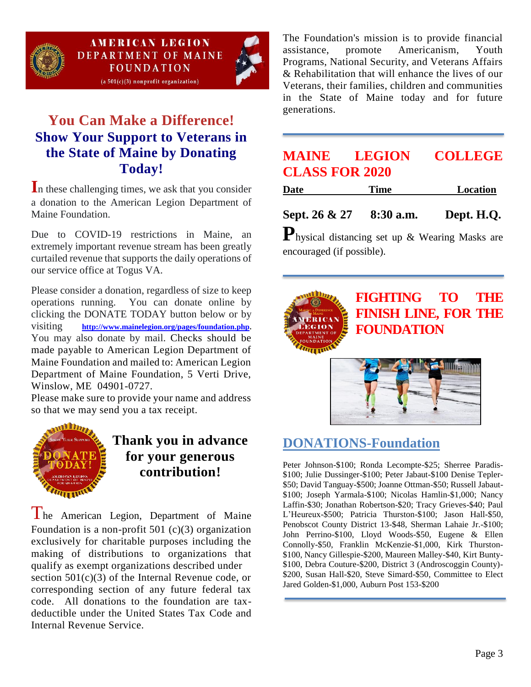

## **You Can Make a Difference! Show Your Support to Veterans in the State of Maine by Donating Today!**

In these challenging times, we ask that you consider a donation to the American Legion Department of Maine Foundation.

Due to COVID-19 restrictions in Maine, an extremely important revenue stream has been greatly curtailed revenue that supports the daily operations of our service office at Togus VA.

Please consider a donation, regardless of size to keep operations running. You can donate online by clicking the DONATE TODAY button below or by visiting **[http://www.mainelegion.org/pages/foundation.php.](http://www.mainelegion.org/pages/foundation.php)**  You may also donate by mail. Checks should be made payable to American Legion Department of Maine Foundation and mailed to: American Legion Department of Maine Foundation, 5 Verti Drive, Winslow, ME 04901-0727.

Please make sure to provide your name and address so that we may send you a tax receipt.



## **Thank you in advance for your generous contribution!**

The American Legion, Department of Maine Foundation is a non-profit  $501$  (c)(3) organization exclusively for charitable purposes including the making of distributions to organizations that qualify as exempt organizations described under section  $501(c)(3)$  of the Internal Revenue code, or corresponding section of any future federal tax code. All donations to the foundation are taxdeductible under the United States Tax Code and Internal Revenue Service.

The Foundation's mission is to provide financial assistance, promote Americanism, Youth Programs, National Security, and Veterans Affairs & Rehabilitation that will enhance the lives of our Veterans, their families, children and communities in the State of Maine today and for future generations.

### **MAINE LEGION COLLEGE CLASS FOR 2020**

| <b>Date</b> | Time | Location |
|-------------|------|----------|
|             |      |          |

**Sept. 26 & 27 8:30 a.m. Dept. H.Q.**

**P**hysical distancing set up & Wearing Masks are encouraged (if possible).



## **DONATIONS-Foundation**

Peter Johnson-\$100; Ronda Lecompte-\$25; Sherree Paradis- \$100; Julie Dussinger-\$100; Peter Jabaut-\$100 Denise Tepler- \$50; David Tanguay-\$500; Joanne Ottman-\$50; Russell Jabaut- \$100; Joseph Yarmala-\$100; Nicolas Hamlin-\$1,000; Nancy Laffin-\$30; Jonathan Robertson-\$20; Tracy Grieves-\$40; Paul L'Heureux-\$500; Patricia Thurston-\$100; Jason Hall-\$50, Penobscot County District 13-\$48, Sherman Lahaie Jr.-\$100; John Perrino-\$100, Lloyd Woods-\$50, Eugene & Ellen Connolly-\$50, Franklin McKenzie-\$1,000, Kirk Thurston- \$100, Nancy Gillespie-\$200, Maureen Malley-\$40, Kirt Bunty- \$100, Debra Couture-\$200, District 3 (Androscoggin County)- \$200, Susan Hall-\$20, Steve Simard-\$50, Committee to Elect Jared Golden-\$1,000, Auburn Post 153-\$200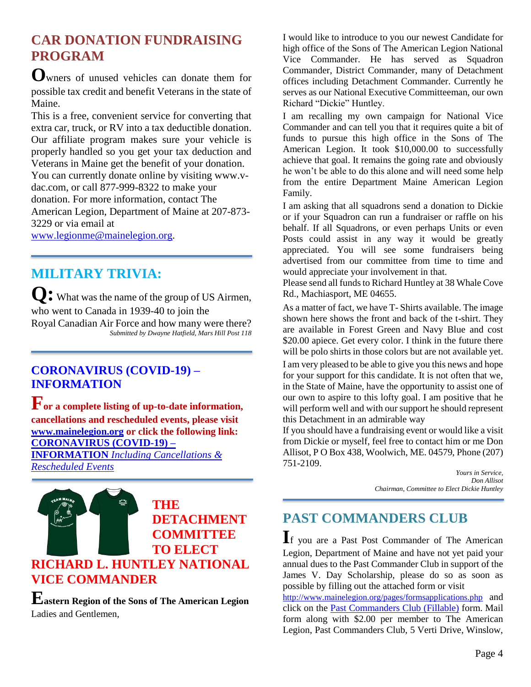# **CAR DONATION FUNDRAISING PROGRAM**

**O**wners of unused vehicles can donate them for possible tax credit and benefit Veterans in the state of Maine.

This is a free, convenient service for converting that extra car, truck, or RV into a tax deductible donation. Our affiliate program makes sure your vehicle is properly handled so you get your tax deduction and Veterans in Maine get the benefit of your donation. You can currently donate online by visiting www.vdac.com, or call 877-999-8322 to make your donation. For more information, contact The American Legion, Department of Maine at 207-873- 3229 or via email at

[www.legionme@mainelegion.org.](http://www.legionme@mainelegion.org)

### **MILITARY TRIVIA:**

**Q:** What was the name of the group of US Airmen, who went to Canada in 1939-40 to join the Royal Canadian Air Force and how many were there? *Submitted by Dwayne Hatfield, Mars Hill Post 118*

#### **[CORONAVIRUS \(COVID-19\) –](http://www.mainelegion.org/pages/news-events/covid-19-info.php) [INFORMATION](http://www.mainelegion.org/pages/news-events/covid-19-info.php)**

**For a complete listing of up-to-date information, cancellations and rescheduled events, please visit [www.mainelegion.org](http://www.mainelegion.org/) or click the following link: [CORONAVIRUS \(COVID-19\) –](http://www.mainelegion.org/pages/news-events/covid-19-info.php) INFORMATION** *[Including Cancellations &](http://www.mainelegion.org/pages/news-events/covid-19-info.php)  [Rescheduled Events](http://www.mainelegion.org/pages/news-events/covid-19-info.php)*



**Eastern Region of the Sons of The American Legion** Ladies and Gentlemen,

I would like to introduce to you our newest Candidate for high office of the Sons of The American Legion National Vice Commander. He has served as Squadron Commander, District Commander, many of Detachment offices including Detachment Commander. Currently he serves as our National Executive Committeeman, our own Richard "Dickie" Huntley.

I am recalling my own campaign for National Vice Commander and can tell you that it requires quite a bit of funds to pursue this high office in the Sons of The American Legion. It took \$10,000.00 to successfully achieve that goal. It remains the going rate and obviously he won't be able to do this alone and will need some help from the entire Department Maine American Legion Family.

I am asking that all squadrons send a donation to Dickie or if your Squadron can run a fundraiser or raffle on his behalf. If all Squadrons, or even perhaps Units or even Posts could assist in any way it would be greatly appreciated. You will see some fundraisers being advertised from our committee from time to time and would appreciate your involvement in that.

Please send all funds to Richard Huntley at 38 Whale Cove Rd., Machiasport, ME 04655.

As a matter of fact, we have T- Shirts available. The image shown here shows the front and back of the t-shirt. They are available in Forest Green and Navy Blue and cost \$20.00 apiece. Get every color. I think in the future there will be polo shirts in those colors but are not available yet.

I am very pleased to be able to give you this news and hope for your support for this candidate. It is not often that we, in the State of Maine, have the opportunity to assist one of our own to aspire to this lofty goal. I am positive that he will perform well and with our support he should represent this Detachment in an admirable way

If you should have a fundraising event or would like a visit from Dickie or myself, feel free to contact him or me Don Allisot, P O Box 438, Woolwich, ME. 04579, Phone (207) 751-2109.

> *Yours in Service, Don Allisot Chairman, Committee to Elect Dickie Huntley*

# **PAST COMMANDERS CLUB**

**I**f you are a Past Post Commander of The American Legion, Department of Maine and have not yet paid your annual dues to the Past Commander Club in support of the James V. Day Scholarship, please do so as soon as possible by filling out the attached form or visit

<http://www.mainelegion.org/pages/formsapplications.php> and click on the [Past Commanders Club \(Fillable\)](http://www.mainelegion.org/media/LEADERSHIP_LEDGER/PCC_2018_FILLABLE_2.pdf) form. Mail form along with \$2.00 per member to The American Legion, Past Commanders Club, 5 Verti Drive, Winslow,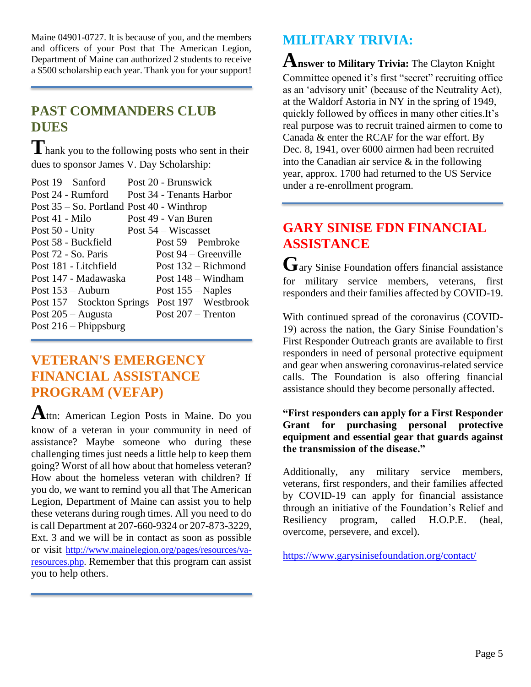Maine 04901-0727. It is because of you, and the members and officers of your Post that The American Legion, Department of Maine can authorized 2 students to receive a \$500 scholarship each year. Thank you for your support!

# **PAST COMMANDERS CLUB DUES**

**T**hank you to the following posts who sent in their dues to sponsor James V. Day Scholarship:

| Post $19 -$ Sanford                         | Post 20 - Brunswick      |
|---------------------------------------------|--------------------------|
| Post 24 - Rumford                           | Post 34 - Tenants Harbor |
| Post $35 -$ So. Portland Post 40 - Winthrop |                          |
| Post 41 - Milo                              | Post 49 - Van Buren      |
| Post 50 - Unity                             | Post $54$ – Wiscasset    |
| Post 58 - Buckfield                         | Post 59 – Pembroke       |
| Post 72 - So. Paris                         | Post $94 -$ Greenville   |
| Post 181 - Litchfield                       | Post $132 -$ Richmond    |
| Post 147 - Madawaska                        | Post 148 – Windham       |
| Post $153 -$ Auburn                         | Post $155 -$ Naples      |
| Post 157 – Stockton Springs                 | Post 197 – Westbrook     |
| Post $205 -$ Augusta                        | Post $207 -$ Trenton     |
| Post $216$ – Phippsburg                     |                          |
|                                             |                          |

### **VETERAN'S EMERGENCY FINANCIAL ASSISTANCE PROGRAM (VEFAP)**

**A**ttn: American Legion Posts in Maine. Do you know of a veteran in your community in need of assistance? Maybe someone who during these challenging times just needs a little help to keep them going? Worst of all how about that homeless veteran? How about the homeless veteran with children? If you do, we want to remind you all that The American Legion, Department of Maine can assist you to help these veterans during rough times. All you need to do is call Department at 207-660-9324 or 207-873-3229, Ext. 3 and we will be in contact as soon as possible or visit [http://www.mainelegion.org/pages/resources/va](http://www.mainelegion.org/pages/resources/va-resources.php)[resources.php.](http://www.mainelegion.org/pages/resources/va-resources.php) Remember that this program can assist you to help others.

# **MILITARY TRIVIA:**

**Answer to Military Trivia:** The Clayton Knight Committee opened it's first "secret" recruiting office as an 'advisory unit' (because of the Neutrality Act), at the Waldorf Astoria in NY in the spring of 1949, quickly followed by offices in many other cities.It's real purpose was to recruit trained airmen to come to Canada & enter the RCAF for the war effort. By Dec. 8, 1941, over 6000 airmen had been recruited into the Canadian air service & in the following year, approx. 1700 had returned to the US Service under a re-enrollment program.

# **GARY SINISE FDN FINANCIAL ASSISTANCE**

**G**ary Sinise Foundation offers financial assistance for military service members, veterans, first responders and their families affected by COVID-19.

With continued spread of the coronavirus (COVID-19) across the nation, the Gary Sinise Foundation's First Responder Outreach grants are available to first responders in need of personal protective equipment and gear when answering coronavirus-related service calls. The Foundation is also offering financial assistance should they become personally affected.

**"First responders can apply for a First Responder Grant for purchasing personal protective equipment and essential gear that guards against the transmission of the disease."**

Additionally, any military service members, veterans, first responders, and their families affected by COVID-19 can apply for financial assistance through an initiative of the Foundation's Relief and Resiliency program, called H.O.P.E. (heal, overcome, persevere, and excel).

[https://www.garysinisefoundation.org/contact/](https://www.garysinisefoundation.org/contact/?fbclid=IwAR2jnq0JCPEKWGfycGjsMqKf75bnESeWo_IPzh9_l6DgmDiJW0fwys4Y1co)